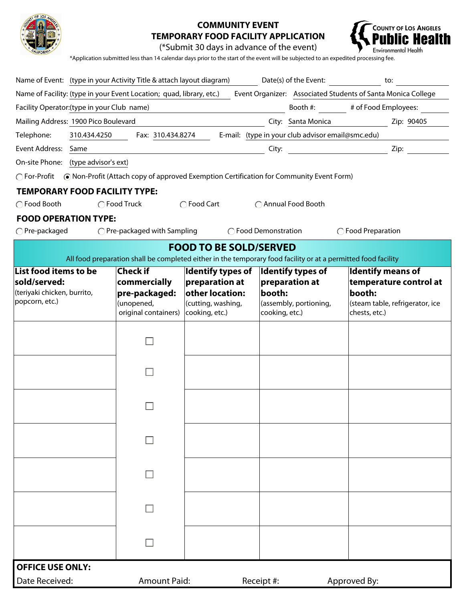

## **COMMUNITY EVENT TEMPORARY FOOD FACILITY APPLICATION**



(\*Submit 30 days in advance of the event)

\*Application submitted less than 14 calendar days prior to the start of the event will be subjected to an expedited processing fee.

| Name of Event: (type in your Activity Title & attach layout diagram)                                                                 |                               |                                   | Date(s) of the Event:                                                                                         | to:                                                |  |  |  |  |  |  |  |
|--------------------------------------------------------------------------------------------------------------------------------------|-------------------------------|-----------------------------------|---------------------------------------------------------------------------------------------------------------|----------------------------------------------------|--|--|--|--|--|--|--|
| Name of Facility: (type in your Event Location; quad, library, etc.)<br>Event Organizer: Associated Students of Santa Monica College |                               |                                   |                                                                                                               |                                                    |  |  |  |  |  |  |  |
| # of Food Employees:<br>Facility Operator: (type in your Club name)<br>Booth #:                                                      |                               |                                   |                                                                                                               |                                                    |  |  |  |  |  |  |  |
| Mailing Address: 1900 Pico Boulevard<br>City: Santa Monica<br>Zip: 90405                                                             |                               |                                   |                                                                                                               |                                                    |  |  |  |  |  |  |  |
| E-mail: (type in your club advisor email@smc.edu)<br>Telephone:<br>310.434.4250<br>Fax: 310.434.8274                                 |                               |                                   |                                                                                                               |                                                    |  |  |  |  |  |  |  |
| Event Address: Same<br>Zip:<br>City:                                                                                                 |                               |                                   |                                                                                                               |                                                    |  |  |  |  |  |  |  |
| (type advisor's ext)<br>On-site Phone:                                                                                               |                               |                                   |                                                                                                               |                                                    |  |  |  |  |  |  |  |
| ◯ For-Profit  ● Non-Profit (Attach copy of approved Exemption Certification for Community Event Form)                                |                               |                                   |                                                                                                               |                                                    |  |  |  |  |  |  |  |
| <b>TEMPORARY FOOD FACILITY TYPE:</b>                                                                                                 |                               |                                   |                                                                                                               |                                                    |  |  |  |  |  |  |  |
| ◯ Food Truck<br>◯ Food Cart<br>◯ Food Booth<br>◯ Annual Food Booth                                                                   |                               |                                   |                                                                                                               |                                                    |  |  |  |  |  |  |  |
| <b>FOOD OPERATION TYPE:</b>                                                                                                          |                               |                                   |                                                                                                               |                                                    |  |  |  |  |  |  |  |
| $\bigcap$ Pre-packaged<br>$\bigcirc$ Pre-packaged with Sampling<br>◯ Food Demonstration<br>◯ Food Preparation                        |                               |                                   |                                                                                                               |                                                    |  |  |  |  |  |  |  |
|                                                                                                                                      |                               | <b>FOOD TO BE SOLD/SERVED</b>     |                                                                                                               |                                                    |  |  |  |  |  |  |  |
|                                                                                                                                      |                               |                                   | All food preparation shall be completed either in the temporary food facility or at a permitted food facility |                                                    |  |  |  |  |  |  |  |
| List food items to be<br>sold/served:                                                                                                | Check if                      | <b>Identify types of</b>          | Identify types of                                                                                             | <b>Identify means of</b><br>temperature control at |  |  |  |  |  |  |  |
| (teriyaki chicken, burrito,                                                                                                          | commercially<br>pre-packaged: | preparation at<br>other location: | $ $ preparation at<br>booth:                                                                                  | booth:                                             |  |  |  |  |  |  |  |
| popcorn, etc.)                                                                                                                       | (unopened,                    | (cutting, washing,                | (assembly, portioning,                                                                                        | (steam table, refrigerator, ice                    |  |  |  |  |  |  |  |
|                                                                                                                                      | original containers)          | cooking, etc.)                    | cooking, etc.)                                                                                                | chests, etc.)                                      |  |  |  |  |  |  |  |
|                                                                                                                                      |                               |                                   |                                                                                                               |                                                    |  |  |  |  |  |  |  |
|                                                                                                                                      |                               |                                   |                                                                                                               |                                                    |  |  |  |  |  |  |  |
|                                                                                                                                      |                               |                                   |                                                                                                               |                                                    |  |  |  |  |  |  |  |
|                                                                                                                                      |                               |                                   |                                                                                                               |                                                    |  |  |  |  |  |  |  |
|                                                                                                                                      |                               |                                   |                                                                                                               |                                                    |  |  |  |  |  |  |  |
|                                                                                                                                      |                               |                                   |                                                                                                               |                                                    |  |  |  |  |  |  |  |
|                                                                                                                                      |                               |                                   |                                                                                                               |                                                    |  |  |  |  |  |  |  |
|                                                                                                                                      |                               |                                   |                                                                                                               |                                                    |  |  |  |  |  |  |  |
|                                                                                                                                      |                               |                                   |                                                                                                               |                                                    |  |  |  |  |  |  |  |
|                                                                                                                                      |                               |                                   |                                                                                                               |                                                    |  |  |  |  |  |  |  |
|                                                                                                                                      |                               |                                   |                                                                                                               |                                                    |  |  |  |  |  |  |  |
|                                                                                                                                      |                               |                                   |                                                                                                               |                                                    |  |  |  |  |  |  |  |
|                                                                                                                                      |                               |                                   |                                                                                                               |                                                    |  |  |  |  |  |  |  |
|                                                                                                                                      |                               |                                   |                                                                                                               |                                                    |  |  |  |  |  |  |  |
|                                                                                                                                      |                               |                                   |                                                                                                               |                                                    |  |  |  |  |  |  |  |
|                                                                                                                                      |                               |                                   |                                                                                                               |                                                    |  |  |  |  |  |  |  |
|                                                                                                                                      |                               |                                   |                                                                                                               |                                                    |  |  |  |  |  |  |  |
| <b>OFFICE USE ONLY:</b>                                                                                                              |                               |                                   |                                                                                                               |                                                    |  |  |  |  |  |  |  |
| Date Received:                                                                                                                       | <b>Amount Paid:</b>           |                                   | Receipt #:                                                                                                    | Approved By:                                       |  |  |  |  |  |  |  |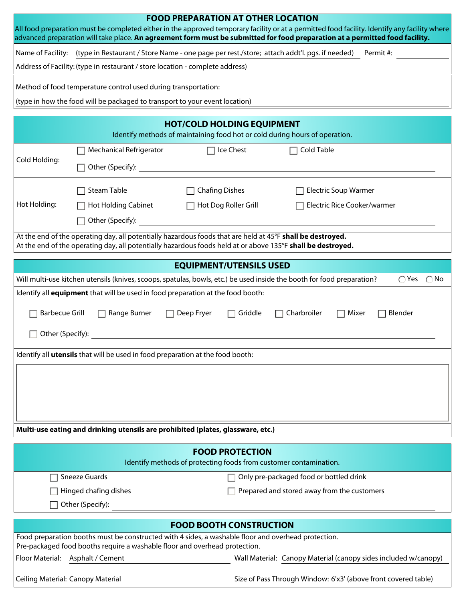| <b>FOOD PREPARATION AT OTHER LOCATION</b><br>All food preparation must be completed either in the approved temporary facility or at a permitted food facility. Identify any facility where<br>advanced preparation will take place. An agreement form must be submitted for food preparation at a permitted food facility. |                                                                                |                                                                                                                        |                               |  |  |  |  |  |
|----------------------------------------------------------------------------------------------------------------------------------------------------------------------------------------------------------------------------------------------------------------------------------------------------------------------------|--------------------------------------------------------------------------------|------------------------------------------------------------------------------------------------------------------------|-------------------------------|--|--|--|--|--|
| Name of Facility: (type in Restaurant / Store Name - one page per rest./store; attach addt'l. pgs. if needed) Permit #:                                                                                                                                                                                                    |                                                                                |                                                                                                                        |                               |  |  |  |  |  |
|                                                                                                                                                                                                                                                                                                                            | Address of Facility: (type in restaurant / store location - complete address)  |                                                                                                                        |                               |  |  |  |  |  |
|                                                                                                                                                                                                                                                                                                                            | Method of food temperature control used during transportation:                 |                                                                                                                        |                               |  |  |  |  |  |
|                                                                                                                                                                                                                                                                                                                            | (type in how the food will be packaged to transport to your event location)    |                                                                                                                        |                               |  |  |  |  |  |
|                                                                                                                                                                                                                                                                                                                            |                                                                                |                                                                                                                        |                               |  |  |  |  |  |
| <b>HOT/COLD HOLDING EQUIPMENT</b><br>Identify methods of maintaining food hot or cold during hours of operation.                                                                                                                                                                                                           |                                                                                |                                                                                                                        |                               |  |  |  |  |  |
| Cold Holding:                                                                                                                                                                                                                                                                                                              | <b>Mechanical Refrigerator</b>                                                 | Ice Chest                                                                                                              | Cold Table                    |  |  |  |  |  |
|                                                                                                                                                                                                                                                                                                                            | Other (Specify):                                                               |                                                                                                                        |                               |  |  |  |  |  |
|                                                                                                                                                                                                                                                                                                                            | Steam Table                                                                    | <b>Chafing Dishes</b>                                                                                                  | <b>Electric Soup Warmer</b>   |  |  |  |  |  |
| Hot Holding:                                                                                                                                                                                                                                                                                                               | <b>Hot Holding Cabinet</b>                                                     | Hot Dog Roller Grill                                                                                                   | Electric Rice Cooker/warmer   |  |  |  |  |  |
|                                                                                                                                                                                                                                                                                                                            | Other (Specify):                                                               |                                                                                                                        |                               |  |  |  |  |  |
| At the end of the operating day, all potentially hazardous foods that are held at 45°F shall be destroyed.<br>At the end of the operating day, all potentially hazardous foods held at or above 135°F shall be destroyed.                                                                                                  |                                                                                |                                                                                                                        |                               |  |  |  |  |  |
|                                                                                                                                                                                                                                                                                                                            |                                                                                | <b>EQUIPMENT/UTENSILS USED</b>                                                                                         |                               |  |  |  |  |  |
|                                                                                                                                                                                                                                                                                                                            |                                                                                | Will multi-use kitchen utensils (knives, scoops, spatulas, bowls, etc.) be used inside the booth for food preparation? | $\bigcap$ No<br>$\bigcap$ Yes |  |  |  |  |  |
|                                                                                                                                                                                                                                                                                                                            |                                                                                | Identify all <b>equipment</b> that will be used in food preparation at the food booth:                                 |                               |  |  |  |  |  |
| <b>Barbecue Grill</b><br>Range Burner<br>Charbroiler<br>Mixer<br>Blender<br>Deep Fryer<br>Griddle                                                                                                                                                                                                                          |                                                                                |                                                                                                                        |                               |  |  |  |  |  |
| Other (Specify):                                                                                                                                                                                                                                                                                                           |                                                                                |                                                                                                                        |                               |  |  |  |  |  |
|                                                                                                                                                                                                                                                                                                                            | Identify all utensils that will be used in food preparation at the food booth: |                                                                                                                        |                               |  |  |  |  |  |
|                                                                                                                                                                                                                                                                                                                            |                                                                                |                                                                                                                        |                               |  |  |  |  |  |
|                                                                                                                                                                                                                                                                                                                            |                                                                                |                                                                                                                        |                               |  |  |  |  |  |
|                                                                                                                                                                                                                                                                                                                            |                                                                                |                                                                                                                        |                               |  |  |  |  |  |
|                                                                                                                                                                                                                                                                                                                            |                                                                                |                                                                                                                        |                               |  |  |  |  |  |
|                                                                                                                                                                                                                                                                                                                            |                                                                                | Multi-use eating and drinking utensils are prohibited (plates, glassware, etc.)                                        |                               |  |  |  |  |  |
| <b>FOOD PROTECTION</b><br>Identify methods of protecting foods from customer contamination.                                                                                                                                                                                                                                |                                                                                |                                                                                                                        |                               |  |  |  |  |  |
| Only pre-packaged food or bottled drink<br>Sneeze Guards                                                                                                                                                                                                                                                                   |                                                                                |                                                                                                                        |                               |  |  |  |  |  |
| Hinged chafing dishes<br>Prepared and stored away from the customers                                                                                                                                                                                                                                                       |                                                                                |                                                                                                                        |                               |  |  |  |  |  |
|                                                                                                                                                                                                                                                                                                                            | Other (Specify):                                                               |                                                                                                                        |                               |  |  |  |  |  |
| <b>FOOD BOOTH CONSTRUCTION</b>                                                                                                                                                                                                                                                                                             |                                                                                |                                                                                                                        |                               |  |  |  |  |  |
| Food preparation booths must be constructed with 4 sides, a washable floor and overhead protection.<br>Pre-packaged food booths require a washable floor and overhead protection.                                                                                                                                          |                                                                                |                                                                                                                        |                               |  |  |  |  |  |
| Floor Material: Asphalt / Cement<br>Wall Material: Canopy Material (canopy sides included w/canopy)                                                                                                                                                                                                                        |                                                                                |                                                                                                                        |                               |  |  |  |  |  |
| Ceiling Material: Canopy Material<br>Size of Pass Through Window: 6'x3' (above front covered table)                                                                                                                                                                                                                        |                                                                                |                                                                                                                        |                               |  |  |  |  |  |